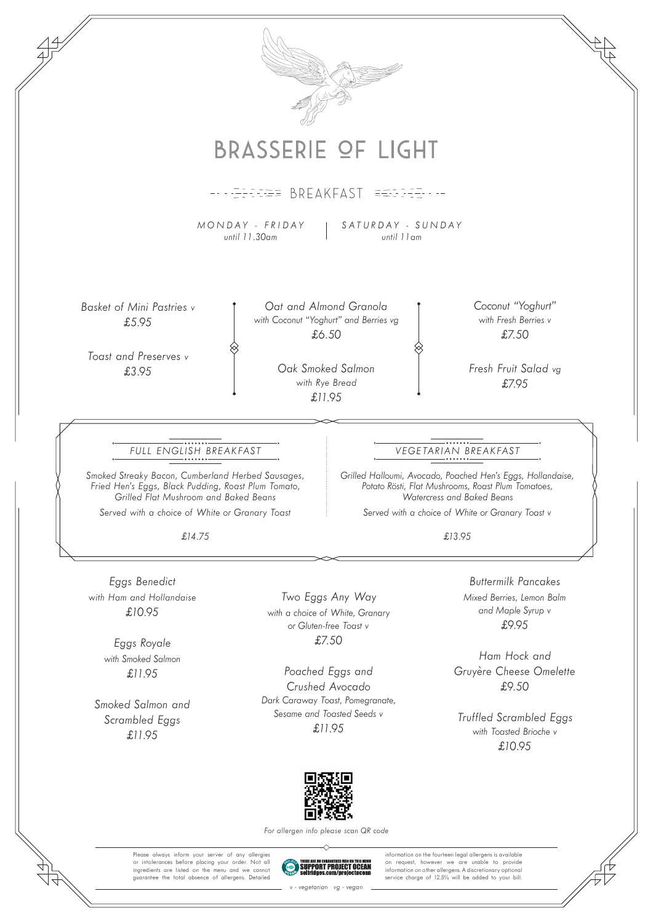



*For allergen info please scan QR code*

Please always inform your server of any allergies<br>or intolerances before placing your order. Not all<br>ingredients are listed on the menu and we cannot<br>guarantee the total absence of allergens. Detailed

THERE ARE NO ENDANGERED FISH ON THIS MENU<br>SUPPORT PROJECT OCEAN *v - vegetarian vg - vegan*

information on the fourteen legal allergens is available on request, however we are unable to provide information on other allergens. A discretionary optional service charge of 12.5% will be added to your bill.